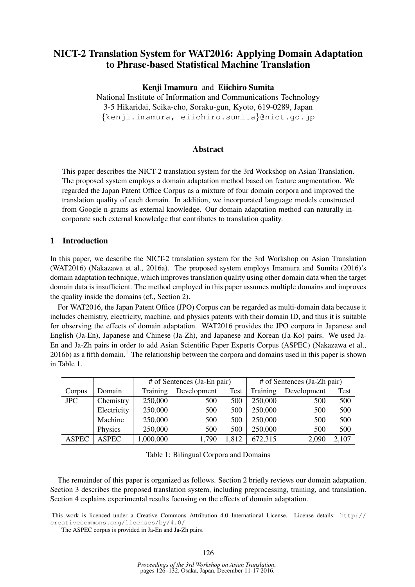# NICT-2 Translation System for WAT2016: Applying Domain Adaptation to Phrase-based Statistical Machine Translation

### Kenji Imamura and Eiichiro Sumita

National Institute of Information and Communications Technology 3-5 Hikaridai, Seika-cho, Soraku-gun, Kyoto, 619-0289, Japan {kenji.imamura, eiichiro.sumita}@nict.go.jp

#### Abstract

This paper describes the NICT-2 translation system for the 3rd Workshop on Asian Translation. The proposed system employs a domain adaptation method based on feature augmentation. We regarded the Japan Patent Office Corpus as a mixture of four domain corpora and improved the translation quality of each domain. In addition, we incorporated language models constructed from Google n-grams as external knowledge. Our domain adaptation method can naturally incorporate such external knowledge that contributes to translation quality.

### 1 Introduction

In this paper, we describe the NICT-2 translation system for the 3rd Workshop on Asian Translation (WAT2016) (Nakazawa et al., 2016a). The proposed system employs Imamura and Sumita (2016)'s domain adaptation technique, which improves translation quality using other domain data when the target domain data is insufficient. The method employed in this paper assumes multiple domains and improves the quality inside the domains (cf., Section 2).

For WAT2016, the Japan Patent Office (JPO) Corpus can be regarded as multi-domain data because it includes chemistry, electricity, machine, and physics patents with their domain ID, and thus it is suitable for observing the effects of domain adaptation. WAT2016 provides the JPO corpora in Japanese and English (Ja-En), Japanese and Chinese (Ja-Zh), and Japanese and Korean (Ja-Ko) pairs. We used Ja-En and Ja-Zh pairs in order to add Asian Scientific Paper Experts Corpus (ASPEC) (Nakazawa et al.,  $2016b$ ) as a fifth domain.<sup>1</sup> The relationship between the corpora and domains used in this paper is shown in Table 1.

|              |              |           | # of Sentences (Ja-En pair) | # of Sentences (Ja-Zh pair) |          |             |       |
|--------------|--------------|-----------|-----------------------------|-----------------------------|----------|-------------|-------|
| Corpus       | Domain       | Training  | Development                 | Test                        | Training | Development | Test  |
| <b>JPC</b>   | Chemistry    | 250,000   | 500                         | 500                         | 250,000  | 500         | 500   |
|              | Electricity  | 250,000   | 500                         | 500                         | 250,000  | 500         | 500   |
|              | Machine      | 250,000   | 500                         | 500                         | 250,000  | 500         | 500   |
|              | Physics      | 250,000   | 500                         | 500                         | 250,000  | 500         | 500   |
| <b>ASPEC</b> | <b>ASPEC</b> | 1,000,000 | 1,790                       | 1,812                       | 672,315  | 2,090       | 2,107 |

Table 1: Bilingual Corpora and Domains

The remainder of this paper is organized as follows. Section 2 briefly reviews our domain adaptation. Section 3 describes the proposed translation system, including preprocessing, training, and translation. Section 4 explains experimental results focusing on the effects of domain adaptation.

This work is licenced under a Creative Commons Attribution 4.0 International License. License details: http:// creativecommons.org/licenses/by/4.0/

<sup>&</sup>lt;sup>1</sup>The ASPEC corpus is provided in Ja-En and Ja-Zh pairs.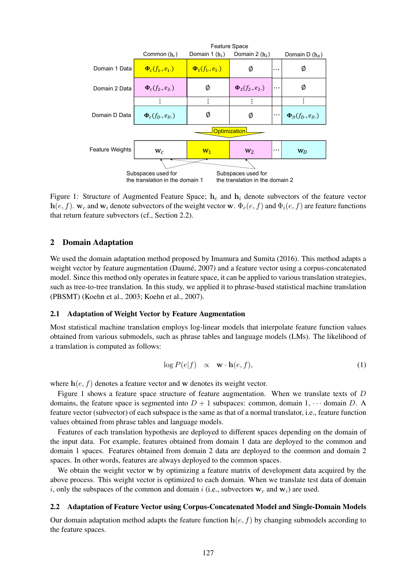

Figure 1: Structure of Augmented Feature Space;  $h_c$  and  $h_i$  denote subvectors of the feature vector  $h(e, f)$ . w<sub>c</sub> and w<sub>i</sub> denote subvectors of the weight vector w.  $\Phi_c(e, f)$  and  $\Phi_i(e, f)$  are feature functions that return feature subvectors (cf., Section 2.2).

### 2 Domain Adaptation

We used the domain adaptation method proposed by Imamura and Sumita (2016). This method adapts a weight vector by feature augmentation (Daumé, 2007) and a feature vector using a corpus-concatenated model. Since this method only operates in feature space, it can be applied to various translation strategies, such as tree-to-tree translation. In this study, we applied it to phrase-based statistical machine translation (PBSMT) (Koehn et al., 2003; Koehn et al., 2007).

#### 2.1 Adaptation of Weight Vector by Feature Augmentation

Most statistical machine translation employs log-linear models that interpolate feature function values obtained from various submodels, such as phrase tables and language models (LMs). The likelihood of a translation is computed as follows:

$$
\log P(e|f) \quad \propto \quad \mathbf{w} \cdot \mathbf{h}(e, f), \tag{1}
$$

where  $h(e, f)$  denotes a feature vector and w denotes its weight vector.

Figure 1 shows a feature space structure of feature augmentation. When we translate texts of  $D$ domains, the feature space is segmented into  $D + 1$  subspaces: common, domain 1,  $\cdots$  domain D. A feature vector (subvector) of each subspace is the same as that of a normal translator, i.e., feature function values obtained from phrase tables and language models.

Features of each translation hypothesis are deployed to different spaces depending on the domain of the input data. For example, features obtained from domain 1 data are deployed to the common and domain 1 spaces. Features obtained from domain 2 data are deployed to the common and domain 2 spaces. In other words, features are always deployed to the common spaces.

We obtain the weight vector w by optimizing a feature matrix of development data acquired by the above process. This weight vector is optimized to each domain. When we translate test data of domain i, only the subspaces of the common and domain i (i.e., subvectors  $w_c$  and  $w_i$ ) are used.

#### 2.2 Adaptation of Feature Vector using Corpus-Concatenated Model and Single-Domain Models

Our domain adaptation method adapts the feature function  $h(e, f)$  by changing submodels according to the feature spaces.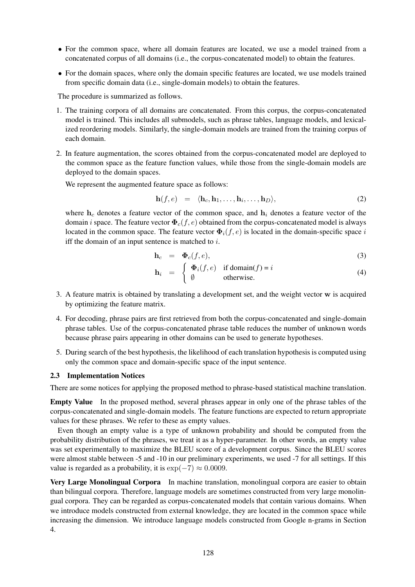- For the common space, where all domain features are located, we use a model trained from a concatenated corpus of all domains (i.e., the corpus-concatenated model) to obtain the features.
- For the domain spaces, where only the domain specific features are located, we use models trained from specific domain data (i.e., single-domain models) to obtain the features.

The procedure is summarized as follows.

- 1. The training corpora of all domains are concatenated. From this corpus, the corpus-concatenated model is trained. This includes all submodels, such as phrase tables, language models, and lexicalized reordering models. Similarly, the single-domain models are trained from the training corpus of each domain.
- 2. In feature augmentation, the scores obtained from the corpus-concatenated model are deployed to the common space as the feature function values, while those from the single-domain models are deployed to the domain spaces.

We represent the augmented feature space as follows:

$$
\mathbf{h}(f,e) = \langle \mathbf{h}_c, \mathbf{h}_1, \dots, \mathbf{h}_i, \dots, \mathbf{h}_D \rangle, \tag{2}
$$

where  $h_c$  denotes a feature vector of the common space, and  $h_i$  denotes a feature vector of the domain i space. The feature vector  $\Phi_c(f, e)$  obtained from the corpus-concatenated model is always located in the common space. The feature vector  $\Phi_i(f, e)$  is located in the domain-specific space i iff the domain of an input sentence is matched to  $i$ .

$$
\mathbf{h}_c = \mathbf{\Phi}_c(f, e), \tag{3}
$$

$$
\mathbf{h}_i = \begin{cases} \mathbf{\Phi}_i(f, e) & \text{if domain}(f) = i \\ \emptyset & \text{otherwise.} \end{cases} \tag{4}
$$

- 3. A feature matrix is obtained by translating a development set, and the weight vector w is acquired by optimizing the feature matrix.
- 4. For decoding, phrase pairs are first retrieved from both the corpus-concatenated and single-domain phrase tables. Use of the corpus-concatenated phrase table reduces the number of unknown words because phrase pairs appearing in other domains can be used to generate hypotheses.
- 5. During search of the best hypothesis, the likelihood of each translation hypothesis is computed using only the common space and domain-specific space of the input sentence.

### 2.3 Implementation Notices

There are some notices for applying the proposed method to phrase-based statistical machine translation.

Empty Value In the proposed method, several phrases appear in only one of the phrase tables of the corpus-concatenated and single-domain models. The feature functions are expected to return appropriate values for these phrases. We refer to these as empty values.

Even though an empty value is a type of unknown probability and should be computed from the probability distribution of the phrases, we treat it as a hyper-parameter. In other words, an empty value was set experimentally to maximize the BLEU score of a development corpus. Since the BLEU scores were almost stable between -5 and -10 in our preliminary experiments, we used -7 for all settings. If this value is regarded as a probability, it is  $\exp(-7) \approx 0.0009$ .

Very Large Monolingual Corpora In machine translation, monolingual corpora are easier to obtain than bilingual corpora. Therefore, language models are sometimes constructed from very large monolingual corpora. They can be regarded as corpus-concatenated models that contain various domains. When we introduce models constructed from external knowledge, they are located in the common space while increasing the dimension. We introduce language models constructed from Google n-grams in Section 4.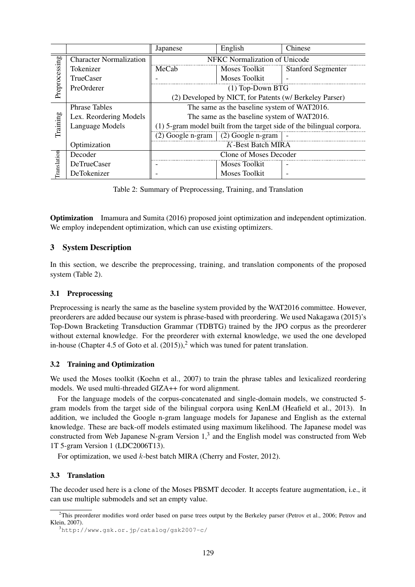|               |                                | Japanese                                                              | English                                                 | Chinese                   |  |  |  |  |
|---------------|--------------------------------|-----------------------------------------------------------------------|---------------------------------------------------------|---------------------------|--|--|--|--|
|               | <b>Character Normalization</b> | NFKC Normalization of Unicode                                         |                                                         |                           |  |  |  |  |
|               | Tokenizer                      | MeCab                                                                 | Moses Toolkit                                           | <b>Stanford Segmenter</b> |  |  |  |  |
| Preprocessing | <b>TrueCaser</b>               |                                                                       | <b>Moses Toolkit</b>                                    |                           |  |  |  |  |
|               | PreOrderer                     | $(1)$ Top-Down BTG                                                    |                                                         |                           |  |  |  |  |
|               |                                |                                                                       | (2) Developed by NICT, for Patents (w/ Berkeley Parser) |                           |  |  |  |  |
|               | <b>Phrase Tables</b>           | The same as the baseline system of WAT2016.                           |                                                         |                           |  |  |  |  |
|               | Lex. Reordering Models         | The same as the baseline system of WAT2016.                           |                                                         |                           |  |  |  |  |
| Training      | Language Models                | (1) 5-gram model built from the target side of the bilingual corpora. |                                                         |                           |  |  |  |  |
|               |                                | $(2)$ Google n-gram                                                   |                                                         |                           |  |  |  |  |
|               | Optimization                   | K-Best Batch MIRA                                                     |                                                         |                           |  |  |  |  |
|               | Decoder                        |                                                                       | Clone of Moses Decoder                                  |                           |  |  |  |  |
| Translation   | <b>DeTrueCaser</b>             |                                                                       | Moses Toolkit                                           |                           |  |  |  |  |
|               | DeTokenizer                    |                                                                       | Moses Toolkit                                           |                           |  |  |  |  |

Table 2: Summary of Preprocessing, Training, and Translation

Optimization Imamura and Sumita (2016) proposed joint optimization and independent optimization. We employ independent optimization, which can use existing optimizers.

# 3 System Description

In this section, we describe the preprocessing, training, and translation components of the proposed system (Table 2).

### 3.1 Preprocessing

Preprocessing is nearly the same as the baseline system provided by the WAT2016 committee. However, preorderers are added because our system is phrase-based with preordering. We used Nakagawa (2015)'s Top-Down Bracketing Transduction Grammar (TDBTG) trained by the JPO corpus as the preorderer without external knowledge. For the preorderer with external knowledge, we used the one developed in-house (Chapter 4.5 of Goto et al.  $(2015)$ ),<sup>2</sup> which was tuned for patent translation.

### 3.2 Training and Optimization

We used the Moses toolkit (Koehn et al., 2007) to train the phrase tables and lexicalized reordering models. We used multi-threaded GIZA++ for word alignment.

For the language models of the corpus-concatenated and single-domain models, we constructed 5 gram models from the target side of the bilingual corpora using KenLM (Heafield et al., 2013). In addition, we included the Google n-gram language models for Japanese and English as the external knowledge. These are back-off models estimated using maximum likelihood. The Japanese model was constructed from Web Japanese N-gram Version  $1<sup>3</sup>$  and the English model was constructed from Web 1T 5-gram Version 1 (LDC2006T13).

For optimization, we used k-best batch MIRA (Cherry and Foster, 2012).

### 3.3 Translation

The decoder used here is a clone of the Moses PBSMT decoder. It accepts feature augmentation, i.e., it can use multiple submodels and set an empty value.

 $^{2}$ This preorderer modifies word order based on parse trees output by the Berkeley parser (Petrov et al., 2006; Petrov and Klein, 2007).

<sup>3</sup>http://www.gsk.or.jp/catalog/gsk2007-c/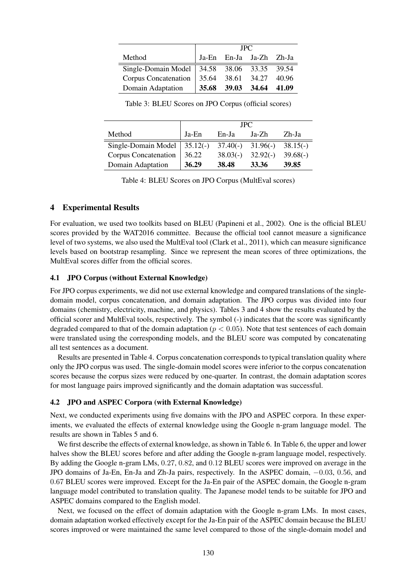|                                                | <b>JPC</b> |                         |  |  |  |  |
|------------------------------------------------|------------|-------------------------|--|--|--|--|
| Method                                         |            | Ja-En En-Ja Ja-Zh Zh-Ja |  |  |  |  |
| Single-Domain Model   34.58 38.06 33.35 39.54  |            |                         |  |  |  |  |
| Corpus Concatenation   35.64 38.61 34.27 40.96 |            |                         |  |  |  |  |
| Domain Adaptation                              |            | 35.68 39.03 34.64 41.09 |  |  |  |  |

Table 3: BLEU Scores on JPO Corpus (official scores)

|                      | <b>JPC</b> |       |                                  |            |  |  |
|----------------------|------------|-------|----------------------------------|------------|--|--|
| Method               | Ja-En      | En-Ja | Ja-Zh                            | Zh-Ja      |  |  |
| Single-Domain Model  | $35.12(-)$ |       | $37.40(-)$ $31.96(-)$ $38.15(-)$ |            |  |  |
| Corpus Concatenation | 36.22      |       | $38.03(-)$ $32.92(-)$            | $39.68(-)$ |  |  |
| Domain Adaptation    | 36.29      | 38.48 | 33.36                            | 39.85      |  |  |

Table 4: BLEU Scores on JPO Corpus (MultEval scores)

#### 4 Experimental Results

For evaluation, we used two toolkits based on BLEU (Papineni et al., 2002). One is the official BLEU scores provided by the WAT2016 committee. Because the official tool cannot measure a significance level of two systems, we also used the MultEval tool (Clark et al., 2011), which can measure significance levels based on bootstrap resampling. Since we represent the mean scores of three optimizations, the MultEval scores differ from the official scores.

## 4.1 JPO Corpus (without External Knowledge)

For JPO corpus experiments, we did not use external knowledge and compared translations of the singledomain model, corpus concatenation, and domain adaptation. The JPO corpus was divided into four domains (chemistry, electricity, machine, and physics). Tables 3 and 4 show the results evaluated by the official scorer and MultEval tools, respectively. The symbol (-) indicates that the score was significantly degraded compared to that of the domain adaptation ( $p < 0.05$ ). Note that test sentences of each domain were translated using the corresponding models, and the BLEU score was computed by concatenating all test sentences as a document.

Results are presented in Table 4. Corpus concatenation corresponds to typical translation quality where only the JPO corpus was used. The single-domain model scores were inferior to the corpus concatenation scores because the corpus sizes were reduced by one-quarter. In contrast, the domain adaptation scores for most language pairs improved significantly and the domain adaptation was successful.

#### 4.2 JPO and ASPEC Corpora (with External Knowledge)

Next, we conducted experiments using five domains with the JPO and ASPEC corpora. In these experiments, we evaluated the effects of external knowledge using the Google n-gram language model. The results are shown in Tables 5 and 6.

We first describe the effects of external knowledge, as shown in Table 6. In Table 6, the upper and lower halves show the BLEU scores before and after adding the Google n-gram language model, respectively. By adding the Google n-gram LMs, 0.27, 0.82, and 0.12 BLEU scores were improved on average in the JPO domains of Ja-En, En-Ja and Zh-Ja pairs, respectively. In the ASPEC domain, −0.03, 0.56, and 0.67 BLEU scores were improved. Except for the Ja-En pair of the ASPEC domain, the Google n-gram language model contributed to translation quality. The Japanese model tends to be suitable for JPO and ASPEC domains compared to the English model.

Next, we focused on the effect of domain adaptation with the Google n-gram LMs. In most cases, domain adaptation worked effectively except for the Ja-En pair of the ASPEC domain because the BLEU scores improved or were maintained the same level compared to those of the single-domain model and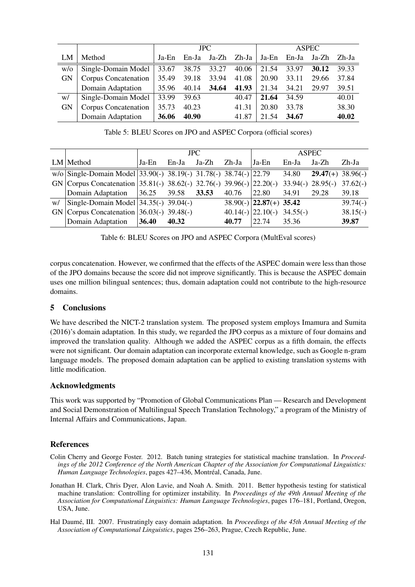|           |                      | <b>JPC</b> |       |       |       | <b>ASPEC</b> |       |             |       |
|-----------|----------------------|------------|-------|-------|-------|--------------|-------|-------------|-------|
| LM        | Method               | Ja-En      | En-Ja | Ja-Zh | Zh-Ja | Ja-En        |       | En-Ja Ja-Zh | Zh-Ja |
| W/O       | Single-Domain Model  | 33.67      | 38.75 | 33.27 | 40.06 | 21.54        | 33.97 | 30.12       | 39.33 |
| <b>GN</b> | Corpus Concatenation | 35.49      | 39.18 | 33.94 | 41.08 | 20.90        | 33.11 | 29.66       | 37.84 |
|           | Domain Adaptation    | 35.96      | 40.14 | 34.64 | 41.93 | 21.34        | 34.21 | 29.97       | 39.51 |
| w/        | Single-Domain Model  | 33.99      | 39.63 |       | 40.47 | 21.64        | 34.59 |             | 40.01 |
| <b>GN</b> | Corpus Concatenation | 35.73      | 40.23 |       | 41.31 | 20.80        | 33.78 |             | 38.30 |
|           | Domain Adaptation    | 36.06      | 40.90 |       | 41.87 | 21.54        | 34.67 |             | 40.02 |

Table 5: BLEU Scores on JPO and ASPEC Corpora (official scores)

|                                                                                | JPC.  |       |       |             | ASPEC                        |       |                              |            |
|--------------------------------------------------------------------------------|-------|-------|-------|-------------|------------------------------|-------|------------------------------|------------|
| $LM$ Method                                                                    | Ja-En | En-Ja | Ja-Zh | Zh-Ja       | Ja-En                        | En-Ja | Ja-Zh                        | Zh-Ja      |
| $\overline{w/o}$ Single-Domain Model 33.90(-) 38.19(-) 31.78(-) 38.74(-) 22.79 |       |       |       |             |                              | 34.80 | $29.47(+)$ 38.96(-)          |            |
| GN   Corpus Concatenation   35.81(-) 38.62(-) 32.76(-) 39.96(-)   22.20(-)     |       |       |       |             |                              |       | $33.94(-) 28.95(-) 37.62(-)$ |            |
| Domain Adaptation 36.25 39.58 33.53                                            |       |       |       | 40.76 22.80 |                              | 34.91 | 29.28                        | 39.18      |
| w/ $\left  \text{Single-Domain Model} \right $ 34.35(-) 39.04(-)               |       |       |       |             | $38.90(-)$ 22.87(+) 35.42    |       |                              | $39.74(-)$ |
| GN   Corpus Concatenation   $36.03(-)$ 39.48(-)                                |       |       |       |             | $40.14(-)$ 22.10(-) 34.55(-) |       |                              | $38.15(-)$ |
| Domain Adaptation 36.40                                                        |       | 40.32 |       | 40.77       | 122.74                       | 35.36 |                              | 39.87      |

Table 6: BLEU Scores on JPO and ASPEC Corpora (MultEval scores)

corpus concatenation. However, we confirmed that the effects of the ASPEC domain were less than those of the JPO domains because the score did not improve significantly. This is because the ASPEC domain uses one million bilingual sentences; thus, domain adaptation could not contribute to the high-resource domains.

### 5 Conclusions

We have described the NICT-2 translation system. The proposed system employs Imamura and Sumita (2016)'s domain adaptation. In this study, we regarded the JPO corpus as a mixture of four domains and improved the translation quality. Although we added the ASPEC corpus as a fifth domain, the effects were not significant. Our domain adaptation can incorporate external knowledge, such as Google n-gram language models. The proposed domain adaptation can be applied to existing translation systems with little modification.

### Acknowledgments

This work was supported by "Promotion of Global Communications Plan — Research and Development and Social Demonstration of Multilingual Speech Translation Technology," a program of the Ministry of Internal Affairs and Communications, Japan.

# References

- Colin Cherry and George Foster. 2012. Batch tuning strategies for statistical machine translation. In *Proceedings of the 2012 Conference of the North American Chapter of the Association for Computational Linguistics: Human Language Technologies*, pages 427–436, Montreal, Canada, June. ´
- Jonathan H. Clark, Chris Dyer, Alon Lavie, and Noah A. Smith. 2011. Better hypothesis testing for statistical machine translation: Controlling for optimizer instability. In *Proceedings of the 49th Annual Meeting of the Association for Computational Linguistics: Human Language Technologies*, pages 176–181, Portland, Oregon, USA, June.
- Hal Daumé, III. 2007. Frustratingly easy domain adaptation. In *Proceedings of the 45th Annual Meeting of the Association of Computational Linguistics*, pages 256–263, Prague, Czech Republic, June.